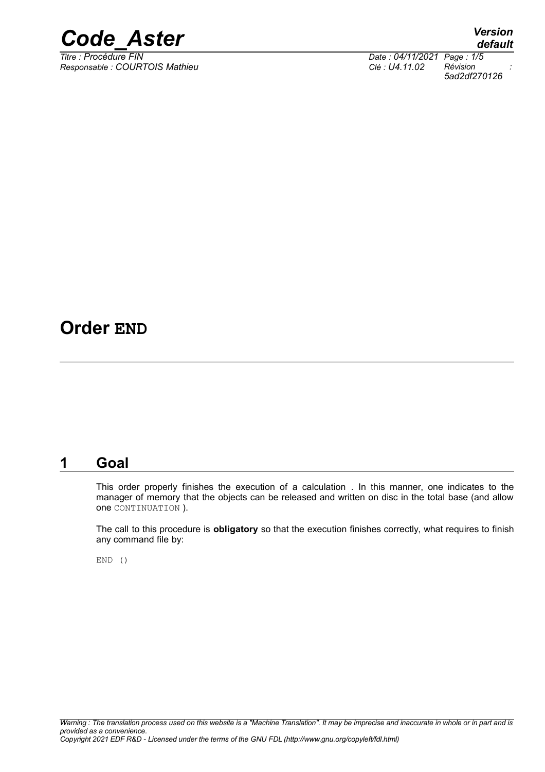

*Responsable : COURTOIS Mathieu Clé : U4.11.02 Révision :*

*default Titre : Procédure FIN Date : 04/11/2021 Page : 1/5 5ad2df270126*

## **Order END**

### **1 Goal**

This order properly finishes the execution of a calculation . In this manner, one indicates to the manager of memory that the objects can be released and written on disc in the total base (and allow one CONTINUATION ).

The call to this procedure is **obligatory** so that the execution finishes correctly, what requires to finish any command file by:

END ()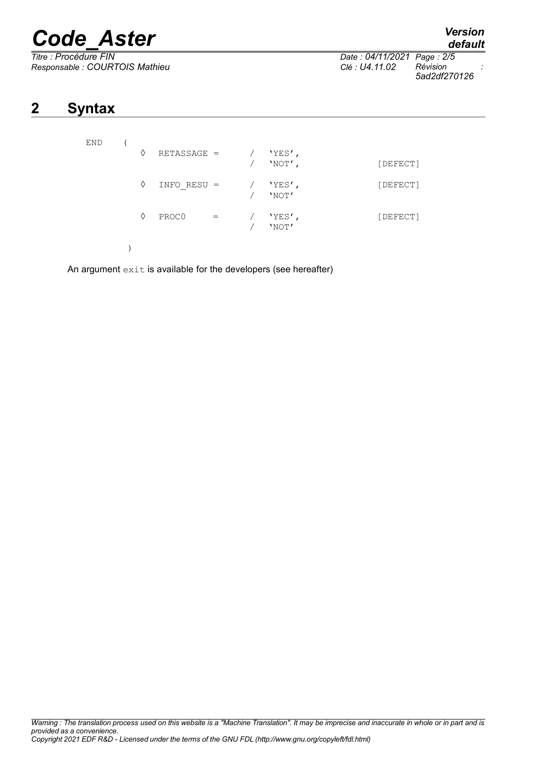# *Code\_Aster Version*

 $Responsible : COURTOIS Mathieu$ 

*Titre : Procédure FIN Date : 04/11/2021 Page : 2/5 5ad2df270126*

## **2 Syntax**

| END |  | ♦ | $RETASSAGE =$ |     | $'YES'$ ,<br>$'NOT'$ , | [DEFECT] |
|-----|--|---|---------------|-----|------------------------|----------|
|     |  | ♦ | $INFO RESU =$ |     | $'$ YES $'$ ,<br>'NOT' | [DEFECT] |
|     |  | ♦ | PROC0         | $=$ | 'YES',<br>'NOT'        | [DEFECT] |

)

An argument  $ext{exit}$  is available for the developers (see hereafter)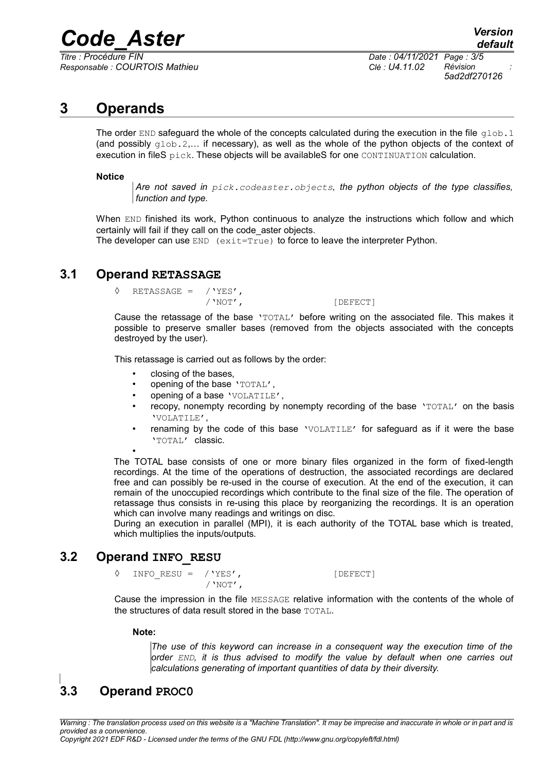## *Code\_Aster Version*

*Titre : Procédure FIN Date : 04/11/2021 Page : 3/5 Responsable : COURTOIS Mathieu Clé : U4.11.02 Révision :*

*5ad2df270126*

### **3 Operands**

The order END safeguard the whole of the concepts calculated during the execution in the file  $q$ lob.1 (and possibly  $q \text{lob.2,...}$  if necessary), as well as the whole of the python objects of the context of execution in fileS pick. These objects will be availableS for one CONTINUATION calculation.

#### **Notice**

*Are not saved in pick.codeaster.objects, the python objects of the type classifies, function and type.*

When END finished its work, Python continuous to analyze the instructions which follow and which certainly will fail if they call on the code\_aster objects.

The developer can use  $END$  (exit=True) to force to leave the interpreter Python.

#### **3.1 Operand RETASSAGE**

 $\sqrt{VES'}$ , RETASSAGE =  $VVES'$ ,

[DEFECT]

Cause the retassage of the base 'TOTAL' before writing on the associated file. This makes it possible to preserve smaller bases (removed from the objects associated with the concepts destroyed by the user).

This retassage is carried out as follows by the order:

- closing of the bases,
- opening of the base 'TOTAL',
- opening of a base 'VOLATILE',
- recopy, nonempty recording by nonempty recording of the base 'TOTAL' on the basis 'VOLATILE',
- renaming by the code of this base 'VOLATILE' for safeguard as if it were the base 'TOTAL' classic.

• The TOTAL base consists of one or more binary files organized in the form of fixed-length recordings. At the time of the operations of destruction, the associated recordings are declared free and can possibly be re-used in the course of execution. At the end of the execution, it can remain of the unoccupied recordings which contribute to the final size of the file. The operation of retassage thus consists in re-using this place by reorganizing the recordings. It is an operation which can involve many readings and writings on disc.

During an execution in parallel (MPI), it is each authority of the TOTAL base which is treated, which multiplies the inputs/outputs.

#### **3.2 Operand INFO\_RESU**

◊ INFO\_RESU = /'YES', [DEFECT]  $/$ 'NOT',

Cause the impression in the file MESSAGE relative information with the contents of the whole of the structures of data result stored in the base TOTAL.

#### **Note:**

*The use of this keyword can increase in a consequent way the execution time of the order END, it is thus advised to modify the value by default when one carries out calculations generating of important quantities of data by their diversity.*

## **3.3 Operand PROC0**

*Warning : The translation process used on this website is a "Machine Translation". It may be imprecise and inaccurate in whole or in part and is provided as a convenience.*

*Copyright 2021 EDF R&D - Licensed under the terms of the GNU FDL (http://www.gnu.org/copyleft/fdl.html)*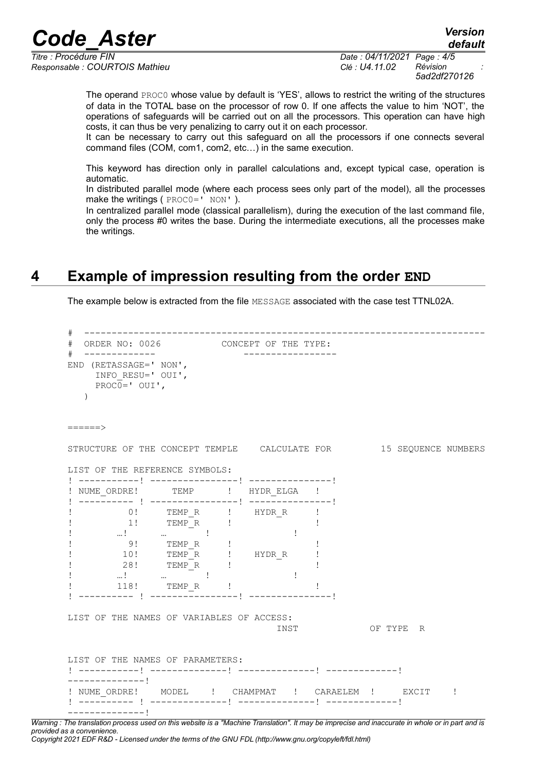## *Code\_Aster Version*

*Responsable : COURTOIS Mathieu Clé : U4.11.02 Révision :*

*Titre : Procédure FIN Date : 04/11/2021 Page : 4/5 5ad2df270126*

*default*

The operand PROC0 whose value by default is 'YES', allows to restrict the writing of the structures of data in the TOTAL base on the processor of row 0. If one affects the value to him 'NOT', the operations of safeguards will be carried out on all the processors. This operation can have high costs, it can thus be very penalizing to carry out it on each processor.

It can be necessary to carry out this safeguard on all the processors if one connects several command files (COM, com1, com2, etc…) in the same execution.

This keyword has direction only in parallel calculations and, except typical case, operation is automatic.

In distributed parallel mode (where each process sees only part of the model), all the processes make the writings ( PROCO=' NON').

In centralized parallel mode (classical parallelism), during the execution of the last command file, only the process #0 writes the base. During the intermediate executions, all the processes make the writings.

## **4 Example of impression resulting from the order END**

The example below is extracted from the file MESSAGE associated with the case test TTNL02A.

```
# -------------------------------------------------------------------------
# ORDER NO: 0026 CONCEPT OF THE TYPE:
# ------------- -----------------
END (RETASSAGE=' NON',
     INFO_RESU=' OUI',
    PROC<sub>0</sub>=' OUI', )
======>
STRUCTURE OF THE CONCEPT TEMPLE CALCULATE FOR 15 SEQUENCE NUMBERS
LIST OF THE REFERENCE SYMBOLS:
! -----------! ----------------! ---------------!
! NUME ORDRE! TEMP ! HYDR ELGA !
! ---------- ! ----------------! ---------------!
! 0! TEMPR ! HYDRR !
! 1! TEMP_R ! !
\Gamma , and \Gamma is a similar point of \Gamma , and \Gamma is a similar point of \Gamma! 9! TEMP R ! ! !
! 10! TEMP_R ! HYDR_R !
! 28! TEMP_R ! !
\Gamma , and \Gamma is a similar point of \Gamma , and \Gamma is a similar point of \Gamma! 118! TEMP_R ! !
! ---------- ! ----------------! ---------------!
LIST OF THE NAMES OF VARIABLES OF ACCESS:
                                   INST OF TYPE R
LIST OF THE NAMES OF PARAMETERS:
! -----------! --------------! --------------! -------------! 
--------------!
! NUME ORDRE! MODEL ! CHAMPMAT ! CARAELEM ! EXCIT !
! ---------- ! --------------! --------------! -------------! 
--------------!
```
*Warning : The translation process used on this website is a "Machine Translation". It may be imprecise and inaccurate in whole or in part and is provided as a convenience. Copyright 2021 EDF R&D - Licensed under the terms of the GNU FDL (http://www.gnu.org/copyleft/fdl.html)*